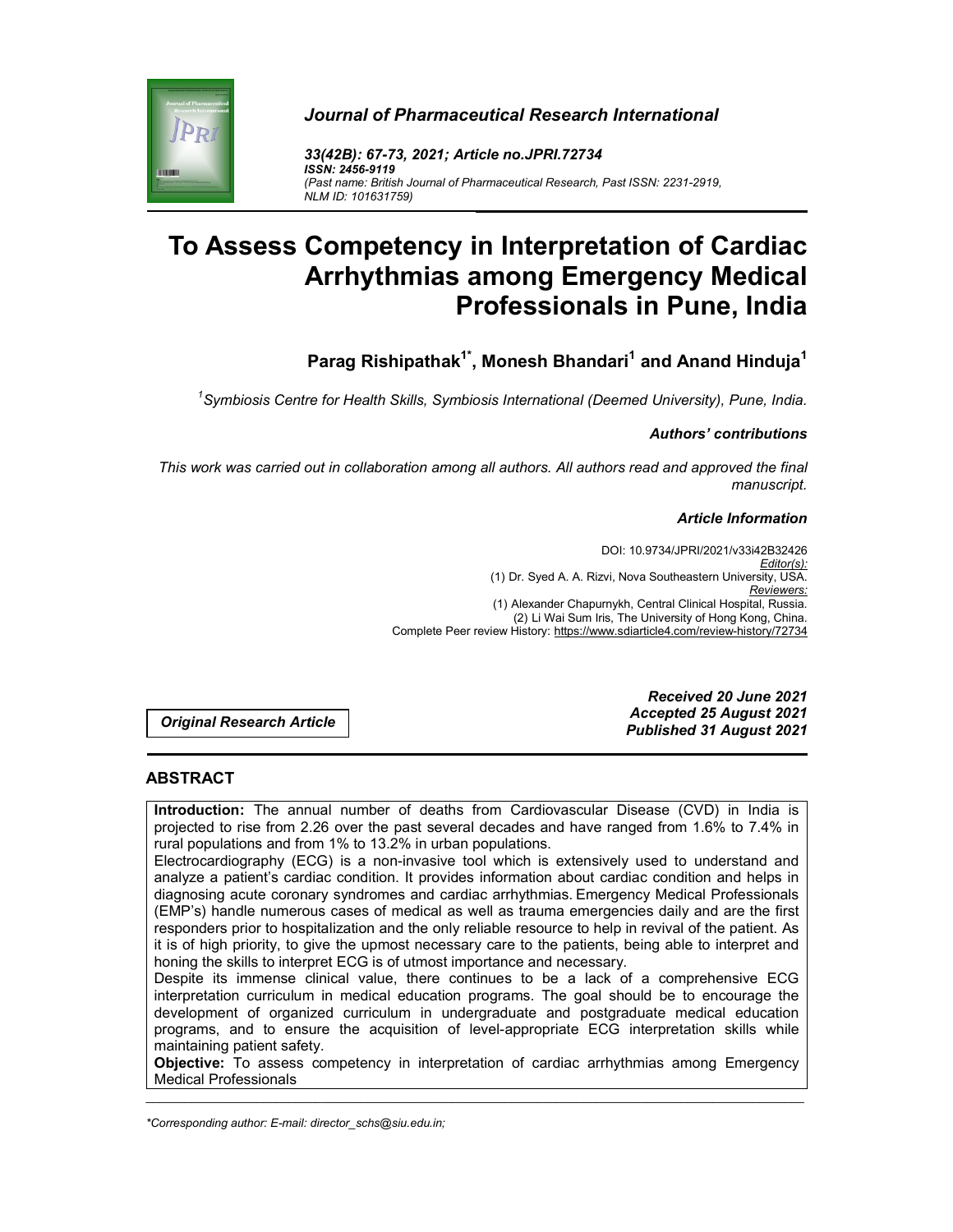# *Journal of Pharmaceutical Research International*



*33(42B): 67-73, 2021; Article no.JPRI***.***72734 ISSN: 2456-9119 (Past name: British Journal of Pharmaceutical Research, Past ISSN: 2231-2919, NLM ID: 101631759)*

# **To Assess Competency in Interpretation of Cardiac Arrhythmias among Emergency Medical Professionals in Pune, India**

**Parag Rishipathak<sup>1\*</sup>, Monesh Bhandari<sup>1</sup> and Anand Hinduja<sup>1</sup>** 

*1 Symbiosis Centre for Health Skills, Symbiosis International (Deemed University), Pune, India.*

## *Authors' contributions*

*This work was carried out in collaboration among all authors. All authors read and approved the final manuscript.*

## *Article Information*

DOI: 10.9734/JPRI/2021/v33i42B32426 *Editor(s):* (1) Dr. Syed A. A. Rizvi, Nova Southeastern University, USA. *Reviewers:* (1) Alexander Chapurnykh, Central Clinical Hospital, Russia. (2) Li Wai Sum Iris, The University of Hong Kong, China. Complete Peer review History: https://www.sdiarticle4.com/review-history/72734

*Original Research Article*

*Received 20 June 2021 Accepted 25 August 2021 Published 31 August 2021*

## **ABSTRACT**

**Introduction:** The annual number of deaths from Cardiovascular Disease (CVD) in India is projected to rise from 2.26 over the past several decades and have ranged from 1.6% to 7.4% in rural populations and from 1% to 13.2% in urban populations.

Electrocardiography (ECG) is a non-invasive tool which is extensively used to understand and analyze a patient's cardiac condition. It provides information about cardiac condition and helps in diagnosing acute coronary syndromes and cardiac arrhythmias. Emergency Medical Professionals (EMP's) handle numerous cases of medical as well as trauma emergencies daily and are the first responders prior to hospitalization and the only reliable resource to help in revival of the patient. As it is of high priority, to give the upmost necessary care to the patients, being able to interpret and honing the skills to interpret ECG is of utmost importance and necessary.

Despite its immense clinical value, there continues to be a lack of a comprehensive ECG interpretation curriculum in medical education programs. The goal should be to encourage the development of organized curriculum in undergraduate and postgraduate medical education programs, and to ensure the acquisition of level-appropriate ECG interpretation skills while maintaining patient safety.

\_\_\_\_\_\_\_\_\_\_\_\_\_\_\_\_\_\_\_\_\_\_\_\_\_\_\_\_\_\_\_\_\_\_\_\_\_\_\_\_\_\_\_\_\_\_\_\_\_\_\_\_\_\_\_\_\_\_\_\_\_\_\_\_\_\_\_\_\_\_\_\_\_\_\_\_\_\_\_\_\_\_\_\_\_\_\_\_\_\_\_\_\_\_\_\_\_\_\_\_\_ **Objective:** To assess competency in interpretation of cardiac arrhythmias among Emergency Medical Professionals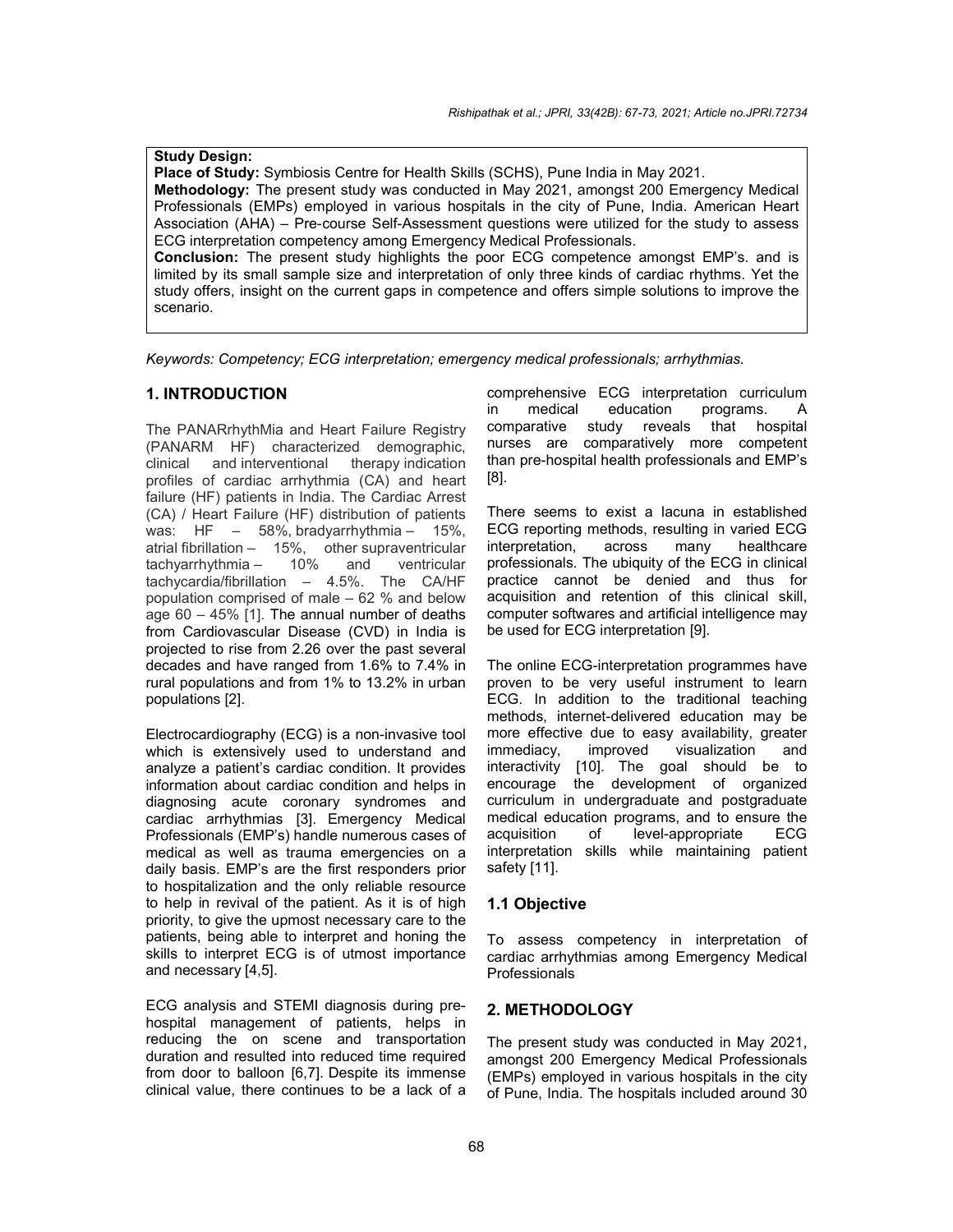**Study Design: Place of Study:** Symbiosis Centre for Health Skills (SCHS), Pune India in May 2021. **Methodology:** The present study was conducted in May 2021, amongst 200 Emergency Medical Professionals (EMPs) employed in various hospitals in the city of Pune, India. American Heart Association (AHA) – Pre-course Self-Assessment questions were utilized for the study to assess ECG interpretation competency among Emergency Medical Professionals. **Conclusion:** The present study highlights the poor ECG competence amongst EMP's. and is limited by its small sample size and interpretation of only three kinds of cardiac rhythms. Yet the study offers, insight on the current gaps in competence and offers simple solutions to improve the scenario.

*Keywords: Competency; ECG interpretation; emergency medical professionals; arrhythmias.*

## **1. INTRODUCTION**

The PANARrhythMia and Heart Failure Registry (PANARM HF) characterized demographic, clinical and interventional therapy indication profiles of cardiac arrhythmia (CA) and heart failure (HF) patients in India. The Cardiac Arrest (CA) / Heart Failure (HF) distribution of patients was: HF – 58%, bradyarrhythmia – 15%, atrial fibrillation - 15%, other supraventricular<br>tachyarrhythmia - 10% and ventricular tachyarrhythmia – 10% and ventricular tachycardia/fibrillation – 4.5%. The CA/HF population comprised of male – 62 % and below age 60 – 45% [1]. The annual number of deaths from Cardiovascular Disease (CVD) in India is projected to rise from 2.26 over the past several decades and have ranged from 1.6% to 7.4% in rural populations and from 1% to 13.2% in urban populations [2].

Electrocardiography (ECG) is a non-invasive tool which is extensively used to understand and analyze a patient's cardiac condition. It provides information about cardiac condition and helps in diagnosing acute coronary syndromes and cardiac arrhythmias [3]. Emergency Medical Professionals (EMP's) handle numerous cases of medical as well as trauma emergencies on a daily basis. EMP's are the first responders prior to hospitalization and the only reliable resource to help in revival of the patient. As it is of high priority, to give the upmost necessary care to the patients, being able to interpret and honing the skills to interpret ECG is of utmost importance and necessary [4,5].

ECG analysis and STEMI diagnosis during prehospital management of patients, helps in reducing the on scene and transportation duration and resulted into reduced time required from door to balloon [6,7]. Despite its immense clinical value, there continues to be a lack of a comprehensive ECG interpretation curriculum in medical education programs. comparative study reveals that hospital nurses are comparatively more competent than pre-hospital health professionals and EMP's [8].

There seems to exist a lacuna in established ECG reporting methods, resulting in varied ECG interpretation, across many healthcare professionals. The ubiquity of the ECG in clinical practice cannot be denied and thus for acquisition and retention of this clinical skill, computer softwares and artificial intelligence may be used for ECG interpretation [9].

The online ECG-interpretation programmes have proven to be very useful instrument to learn ECG. In addition to the traditional teaching methods, internet-delivered education may be more effective due to easy availability, greater immediacy, improved visualization and interactivity [10]. The goal should be to encourage the development of organized curriculum in undergraduate and postgraduate medical education programs, and to ensure the acquisition of level-appropriate ECG interpretation skills while maintaining patient safety [11].

#### **1.1 Objective**

To assess competency in interpretation of cardiac arrhythmias among Emergency Medical Professionals

## **2. METHODOLOGY**

The present study was conducted in May 2021, amongst 200 Emergency Medical Professionals (EMPs) employed in various hospitals in the city of Pune, India. The hospitals included around 30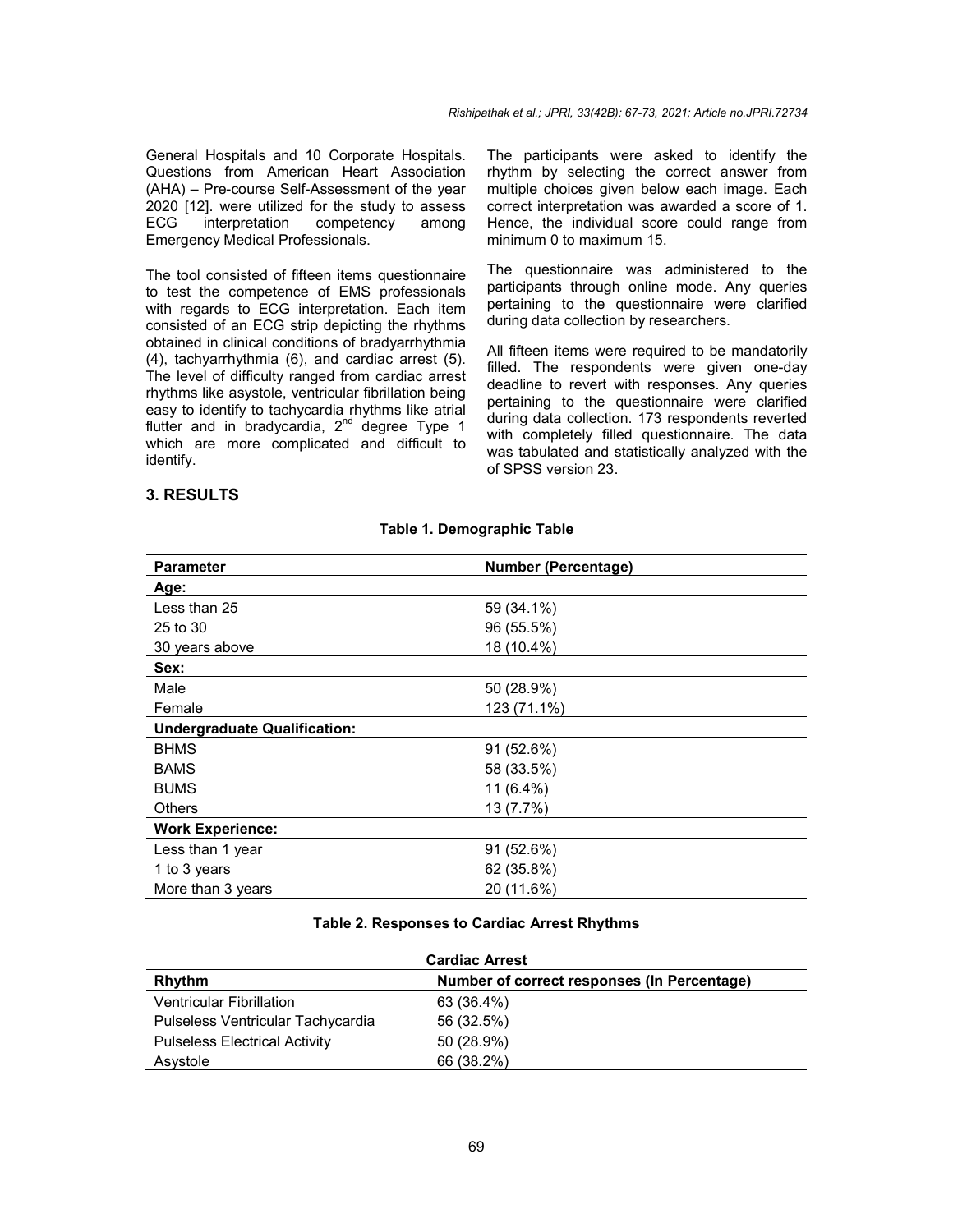General Hospitals and 10 Corporate Hospitals. Questions from American Heart Association (AHA) – Pre-course Self-Assessment of the year 2020 [12]. were utilized for the study to assess ECG interpretation competency among Emergency Medical Professionals.

The tool consisted of fifteen items questionnaire to test the competence of EMS professionals with regards to ECG interpretation. Each item consisted of an ECG strip depicting the rhythms obtained in clinical conditions of bradyarrhythmia (4), tachyarrhythmia (6), and cardiac arrest (5). The level of difficulty ranged from cardiac arrest rhythms like asystole, ventricular fibrillation being easy to identify to tachycardia rhythms like atrial flutter and in bradycardia, 2<sup>nd</sup> degree Type 1 which are more complicated and difficult to identify.

#### The participants were asked to identify the rhythm by selecting the correct answer from multiple choices given below each image. Each correct interpretation was awarded a score of 1. Hence, the individual score could range from minimum 0 to maximum 15.

The questionnaire was administered to the participants through online mode. Any queries pertaining to the questionnaire were clarified during data collection by researchers.

All fifteen items were required to be mandatorily filled. The respondents were given one-day deadline to revert with responses. Any queries pertaining to the questionnaire were clarified during data collection. 173 respondents reverted with completely filled questionnaire. The data was tabulated and statistically analyzed with the of SPSS version 23.

## **3. RESULTS**

| <b>Parameter</b>                    | <b>Number (Percentage)</b> |
|-------------------------------------|----------------------------|
| Age:                                |                            |
| Less than 25                        | 59 (34.1%)                 |
| 25 to 30                            | 96 (55.5%)                 |
| 30 years above                      | 18 (10.4%)                 |
| Sex:                                |                            |
| Male                                | 50 (28.9%)                 |
| Female                              | 123 (71.1%)                |
| <b>Undergraduate Qualification:</b> |                            |
| <b>BHMS</b>                         | 91 (52.6%)                 |
| <b>BAMS</b>                         | 58 (33.5%)                 |
| <b>BUMS</b>                         | 11 (6.4%)                  |
| <b>Others</b>                       | 13 (7.7%)                  |
| <b>Work Experience:</b>             |                            |
| Less than 1 year                    | 91(52.6%)                  |
| 1 to 3 years                        | 62 (35.8%)                 |
| More than 3 years                   | 20 (11.6%)                 |

#### **Table 1. Demographic Table**

#### **Table 2. Responses to Cardiac Arrest Rhythms**

| <b>Cardiac Arrest</b>                |                                             |  |
|--------------------------------------|---------------------------------------------|--|
| Rhythm                               | Number of correct responses (In Percentage) |  |
| <b>Ventricular Fibrillation</b>      | 63 (36.4%)                                  |  |
| Pulseless Ventricular Tachycardia    | 56 (32.5%)                                  |  |
| <b>Pulseless Electrical Activity</b> | 50 (28.9%)                                  |  |
| Asystole                             | 66 (38.2%)                                  |  |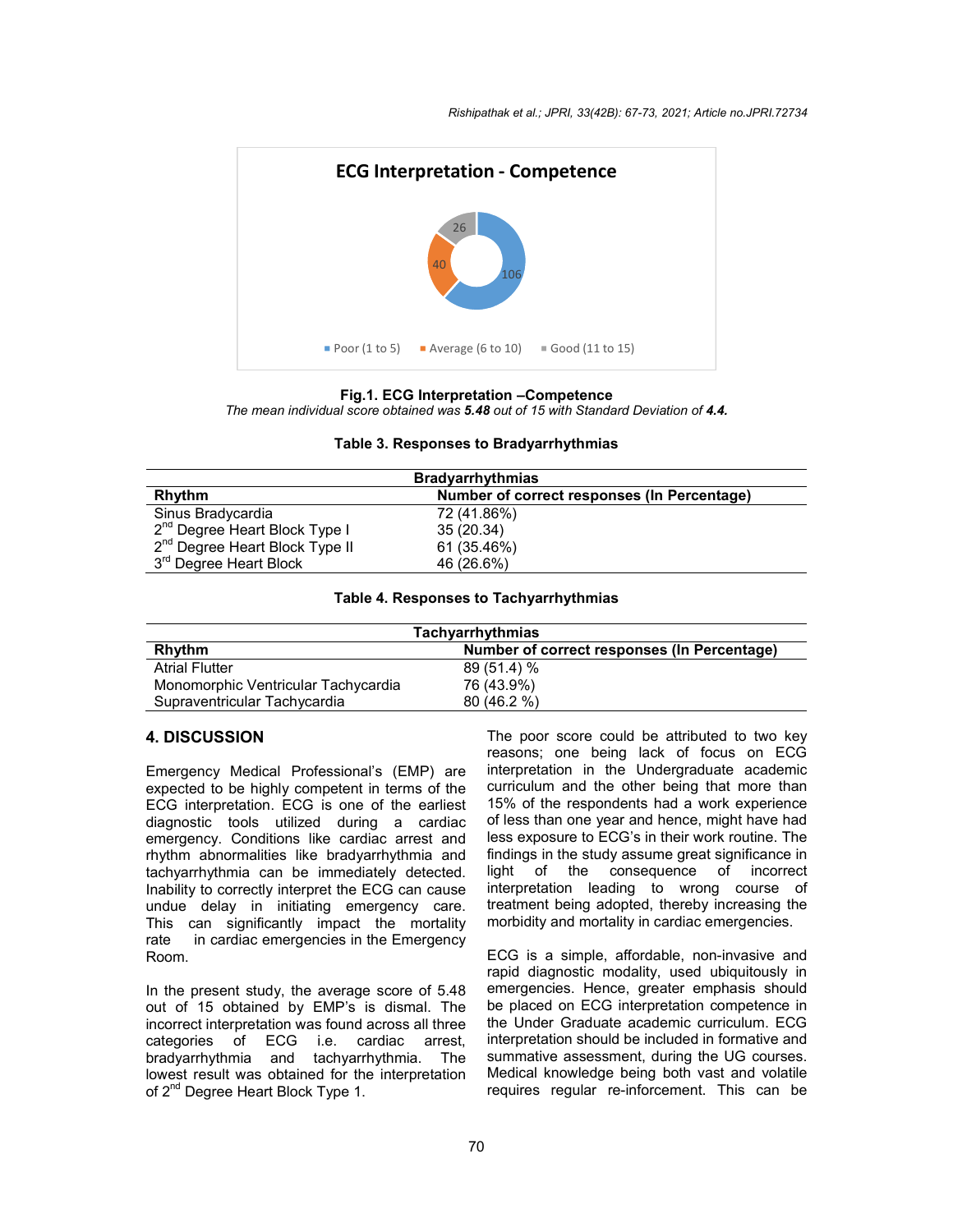

#### **Fig.1. ECG Interpretation –Competence**

*The mean individual score obtained was 5.48 out of 15 with Standard Deviation of 4.4.*

#### **Table 3. Responses to Bradyarrhythmias**

| <b>Bradyarrhythmias</b>                    |                                             |  |
|--------------------------------------------|---------------------------------------------|--|
| Rhythm                                     | Number of correct responses (In Percentage) |  |
| Sinus Bradycardia                          | 72 (41.86%)                                 |  |
| 2 <sup>nd</sup> Degree Heart Block Type I  | 35 (20.34)                                  |  |
| 2 <sup>nd</sup> Degree Heart Block Type II | 61 (35.46%)                                 |  |
| 3 <sup>rd</sup> Degree Heart Block         | 46 (26.6%)                                  |  |

#### **Table 4. Responses to Tachyarrhythmias**

| Tachyarrhythmias                    |                                             |  |
|-------------------------------------|---------------------------------------------|--|
| Rhythm                              | Number of correct responses (In Percentage) |  |
| <b>Atrial Flutter</b>               | $89(51.4)\%$                                |  |
| Monomorphic Ventricular Tachycardia | 76 (43.9%)                                  |  |
| Supraventricular Tachycardia        | 80(46.2%)                                   |  |

## **4. DISCUSSION**

Emergency Medical Professional's (EMP) are expected to be highly competent in terms of the ECG interpretation. ECG is one of the earliest diagnostic tools utilized during a cardiac emergency. Conditions like cardiac arrest and rhythm abnormalities like bradyarrhythmia and tachyarrhythmia can be immediately detected. Inability to correctly interpret the ECG can cause undue delay in initiating emergency care. This can significantly impact the mortality rate in cardiac emergencies in the Emergency Room.

In the present study, the average score of 5.48 out of 15 obtained by EMP's is dismal. The incorrect interpretation was found across all three categories of ECG i.e. cardiac arrest, bradyarrhythmia and tachyarrhythmia. The lowest result was obtained for the interpretation of 2<sup>nd</sup> Degree Heart Block Type 1.

The poor score could be attributed to two key reasons; one being lack of focus on ECG interpretation in the Undergraduate academic curriculum and the other being that more than 15% of the respondents had a work experience of less than one year and hence, might have had less exposure to ECG's in their work routine. The findings in the study assume great significance in<br>light of the consequence of incorrect consequence of incorrect interpretation leading to wrong course of treatment being adopted, thereby increasing the morbidity and mortality in cardiac emergencies.

ECG is a simple, affordable, non-invasive and rapid diagnostic modality, used ubiquitously in emergencies. Hence, greater emphasis should be placed on ECG interpretation competence in the Under Graduate academic curriculum. ECG interpretation should be included in formative and summative assessment, during the UG courses. Medical knowledge being both vast and volatile requires regular re-inforcement. This can be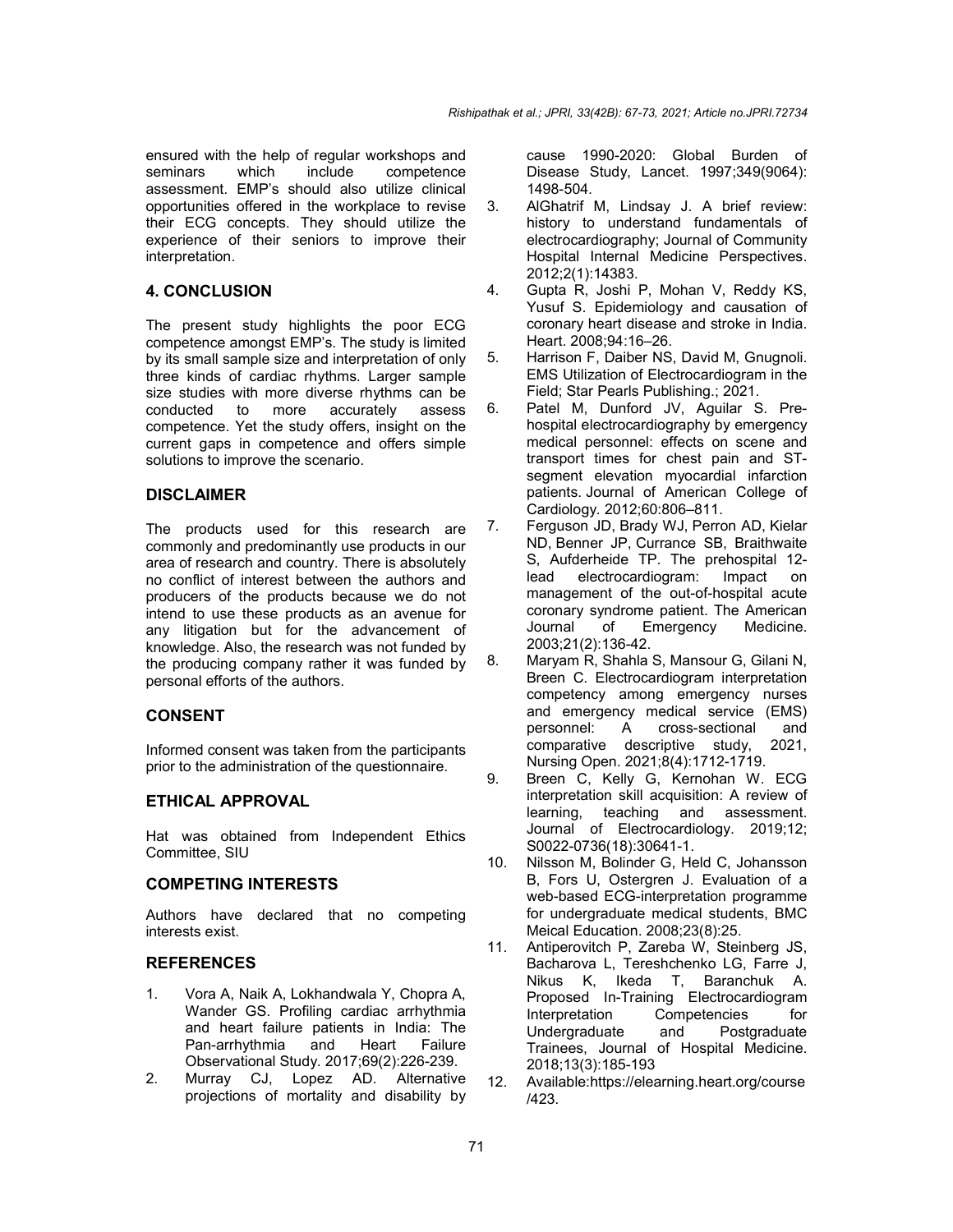ensured with the help of regular workshops and seminars which include competence assessment. EMP's should also utilize clinical opportunities offered in the workplace to revise their ECG concepts. They should utilize the experience of their seniors to improve their interpretation.

## **4. CONCLUSION**

The present study highlights the poor ECG competence amongst EMP's. The study is limited by its small sample size and interpretation of only three kinds of cardiac rhythms. Larger sample size studies with more diverse rhythms can be conducted to more accurately assess competence. Yet the study offers, insight on the current gaps in competence and offers simple solutions to improve the scenario.

## **DISCLAIMER**

The products used for this research are commonly and predominantly use products in our area of research and country. There is absolutely no conflict of interest between the authors and producers of the products because we do not intend to use these products as an avenue for any litigation but for the advancement of knowledge. Also, the research was not funded by the producing company rather it was funded by personal efforts of the authors.

## **CONSENT**

Informed consent was taken from the participants prior to the administration of the questionnaire.

## **ETHICAL APPROVAL**

Hat was obtained from Independent Ethics Committee, SIU

## **COMPETING INTERESTS**

Authors have declared that no competing interests exist.

## **REFERENCES**

- 1. Vora A, Naik A, Lokhandwala Y, Chopra A, Wander GS. Profiling cardiac arrhythmia and heart failure patients in India: The Pan-arrhythmia and Observational Study. 2017;69(2):226-239.
- 2. Murray CJ, Lopez AD. Alternative projections of mortality and disability by

cause 1990-2020: Global Burden of Disease Study, Lancet. 1997;349(9064): 1498-504.

- 3. AlGhatrif M, Lindsay J. A brief review: history to understand fundamentals of electrocardiography; Journal of Community Hospital Internal Medicine Perspectives. 2012;2(1):14383.
- 4. Gupta R, Joshi P, Mohan V, Reddy KS, Yusuf S. Epidemiology and causation of coronary heart disease and stroke in India. Heart. 2008;94:16–26.
- 5. Harrison F, Daiber NS, David M, Gnugnoli. EMS Utilization of Electrocardiogram in the Field; Star Pearls Publishing.; 2021.
- 6. Patel M, Dunford JV, Aguilar S. Prehospital electrocardiography by emergency medical personnel: effects on scene and transport times for chest pain and STsegment elevation myocardial infarction patients. Journal of American College of Cardiology*.* 2012;60:806–811.
- 7. Ferguson JD, Brady WJ, Perron AD, Kielar ND, Benner JP, Currance SB, Braithwaite S, Aufderheide TP. The prehospital 12 lead electrocardiogram: Impact on management of the out-of-hospital acute coronary syndrome patient. The American<br>Journal of Emergency Medicine. Journal of Emergency 2003;21(2):136-42.
- 8. Maryam R, Shahla S, Mansour G, Gilani N, Breen C. Electrocardiogram interpretation competency among emergency nurses and emergency medical service (EMS) personnel: A cross-sectional and<br>comparative descriptive study, 2021, comparative descriptive study, Nursing Open. 2021;8(4):1712-1719.
- 9. Breen C, Kelly G, Kernohan W. ECG interpretation skill acquisition: A review of learning, teaching and assessment. Journal of Electrocardiology. 2019;12; S0022-0736(18):30641-1.
- 10. Nilsson M, Bolinder G, Held C, Johansson B, Fors U, Ostergren J. Evaluation of a web-based ECG-interpretation programme for undergraduate medical students, BMC Meical Education. 2008;23(8):25.
- 11. Antiperovitch P, Zareba W, Steinberg JS, Bacharova L, Tereshchenko LG, Farre J, Nikus K, Ikeda T, Baranchuk A. Proposed In-Training Electrocardiogram Interpretation Competencies for Undergraduate and Postgraduate Trainees, Journal of Hospital Medicine. 2018;13(3):185-193
- 12. Available:https://elearning.heart.org/course /423.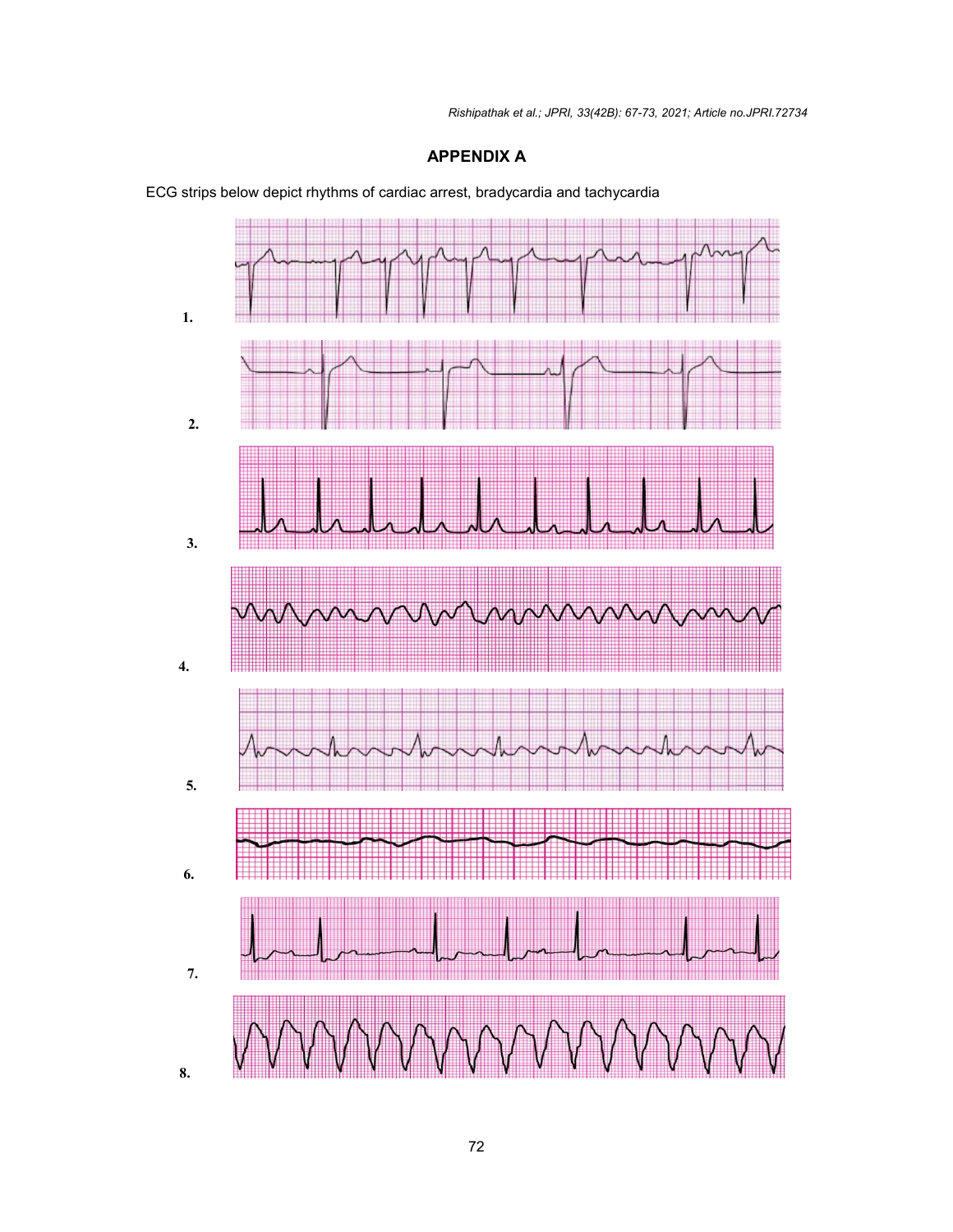# **APPENDIX A**



ECG strips below depict rhythms of cardiac arrest, bradycardia and tachycardia